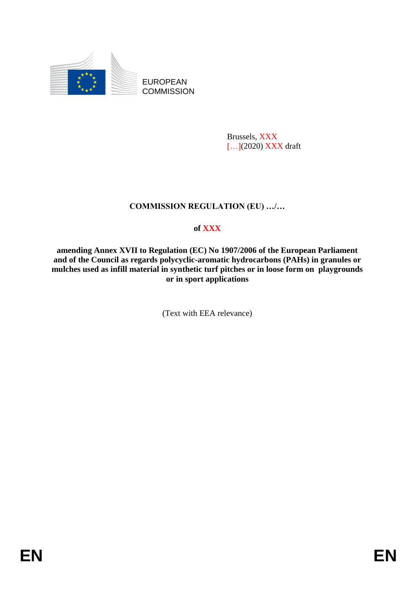

EUROPEAN **COMMISSION** 

> Brussels, XXX [...](2020) XXX draft

# **COMMISSION REGULATION (EU) …/…**

# **of XXX**

**amending Annex XVII to Regulation (EC) No 1907/2006 of the European Parliament and of the Council as regards polycyclic-aromatic hydrocarbons (PAHs) in granules or mulches used as infill material in synthetic turf pitches or in loose form on playgrounds or in sport applications**

(Text with EEA relevance)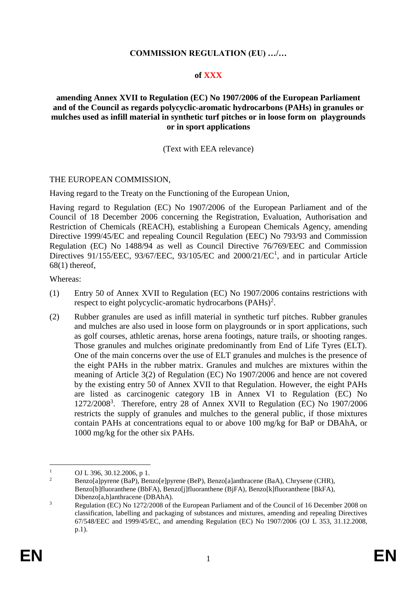### **COMMISSION REGULATION (EU) …/…**

### **of XXX**

### **amending Annex XVII to Regulation (EC) No 1907/2006 of the European Parliament and of the Council as regards polycyclic-aromatic hydrocarbons (PAHs) in granules or mulches used as infill material in synthetic turf pitches or in loose form on playgrounds or in sport applications**

#### (Text with EEA relevance)

#### THE EUROPEAN COMMISSION,

Having regard to the Treaty on the Functioning of the European Union,

Having regard to Regulation (EC) No 1907/2006 of the European Parliament and of the Council of 18 December 2006 concerning the Registration, Evaluation, Authorisation and Restriction of Chemicals (REACH), establishing a European Chemicals Agency, amending Directive 1999/45/EC and repealing Council Regulation (EEC) No 793/93 and Commission Regulation (EC) No 1488/94 as well as Council Directive 76/769/EEC and Commission Directives 91/155/EEC, 93/67/EEC, 93/105/EC and 2000/21/EC<sup>1</sup>, and in particular Article  $68(1)$  thereof,

Whereas:

- (1) Entry 50 of Annex XVII to Regulation (EC) No 1907/2006 contains restrictions with respect to eight polycyclic-aromatic hydrocarbons  $(PAHs)^2$ .
- (2) Rubber granules are used as infill material in synthetic turf pitches. Rubber granules and mulches are also used in loose form on playgrounds or in sport applications, such as golf courses, athletic arenas, horse arena footings, nature trails, or shooting ranges. Those granules and mulches originate predominantly from End of Life Tyres (ELT). One of the main concerns over the use of ELT granules and mulches is the presence of the eight PAHs in the rubber matrix. Granules and mulches are mixtures within the meaning of Article 3(2) of Regulation (EC) No 1907/2006 and hence are not covered by the existing entry 50 of Annex XVII to that Regulation. However, the eight PAHs are listed as carcinogenic category 1B in Annex VI to Regulation (EC) No 1272/2008<sup>3</sup>. Therefore, entry 28 of Annex XVII to Regulation (EC) No 1907/2006 restricts the supply of granules and mulches to the general public, if those mixtures contain PAHs at concentrations equal to or above 100 mg/kg for BaP or DBAhA, or 1000 mg/kg for the other six PAHs.

 $\mathbf{1}$ <sup>1</sup> OJ L 396, 30.12.2006, p 1.<br>Paras [alseman (BaB), Bar

<sup>2</sup> Benzo[a]pyrene (BaP), Benzo[e]pyrene (BeP), Benzo[a]anthracene (BaA), Chrysene (CHR), Benzo[b]fluoranthene (BbFA), Benzo[j]fluoranthene (BjFA), Benzo[k]fluoranthene [BkFA), Dibenzo[a,h]anthracene (DBAhA).

<sup>&</sup>lt;sup>3</sup> Regulation (EC) No 1272/2008 of the European Parliament and of the Council of 16 December 2008 on classification, labelling and packaging of substances and mixtures, amending and repealing Directives 67/548/EEC and 1999/45/EC, and amending Regulation (EC) No 1907/2006 (OJ L 353, 31.12.2008, p.1).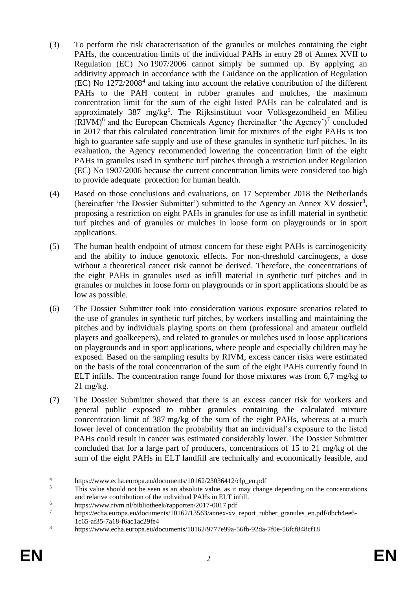- (3) To perform the risk characterisation of the granules or mulches containing the eight PAHs, the concentration limits of the individual PAHs in entry 28 of Annex XVII to Regulation (EC) No 1907/2006 cannot simply be summed up. By applying an additivity approach in accordance with the Guidance on the application of Regulation  $(EC)$  No  $1272/2008<sup>4</sup>$  and taking into account the relative contribution of the different PAHs to the PAH content in rubber granules and mulches, the maximum concentration limit for the sum of the eight listed PAHs can be calculated and is approximately 387 mg/kg<sup>5</sup>. The Rijksinstituut voor Volksgezondheid en Milieu  $(RIVM)$ <sup>6</sup> and the European Chemicals Agency (hereinafter 'the Agency')<sup>7</sup> concluded in 2017 that this calculated concentration limit for mixtures of the eight PAHs is too high to guarantee safe supply and use of these granules in synthetic turf pitches. In its evaluation, the Agency recommended lowering the concentration limit of the eight PAHs in granules used in synthetic turf pitches through a restriction under Regulation (EC) No 1907/2006 because the current concentration limits were considered too high to provide adequate protection for human health.
- (4) Based on those conclusions and evaluations, on 17 September 2018 the Netherlands (hereinafter 'the Dossier Submitter') submitted to the Agency an Annex XV dossier<sup>8</sup>, proposing a restriction on eight PAHs in granules for use as infill material in synthetic turf pitches and of granules or mulches in loose form on playgrounds or in sport applications.
- (5) The human health endpoint of utmost concern for these eight PAHs is carcinogenicity and the ability to induce genotoxic effects. For non-threshold carcinogens, a dose without a theoretical cancer risk cannot be derived. Therefore, the concentrations of the eight PAHs in granules used as infill material in synthetic turf pitches and in granules or mulches in loose form on playgrounds or in sport applications should be as low as possible.
- (6) The Dossier Submitter took into consideration various exposure scenarios related to the use of granules in synthetic turf pitches, by workers installing and maintaining the pitches and by individuals playing sports on them (professional and amateur outfield players and goalkeepers), and related to granules or mulches used in loose applications on playgrounds and in sport applications, where people and especially children may be exposed. Based on the sampling results by RIVM, excess cancer risks were estimated on the basis of the total concentration of the sum of the eight PAHs currently found in ELT infills. The concentration range found for those mixtures was from 6,7 mg/kg to 21 mg/kg.
- (7) The Dossier Submitter showed that there is an excess cancer risk for workers and general public exposed to rubber granules containing the calculated mixture concentration limit of 387 mg/kg of the sum of the eight PAHs, whereas at a much lower level of concentration the probability that an individual's exposure to the listed PAHs could result in cancer was estimated considerably lower. The Dossier Submitter concluded that for a large part of producers, concentrations of 15 to 21 mg/kg of the sum of the eight PAHs in ELT landfill are technically and economically feasible, and

 $\overline{4}$ <sup>4</sup> https://www.echa.europa.eu/documents/10162/23036412/clp\_en.pdf<br><sup>5</sup> This value should not be seen as an absolute value as it may change

<sup>5</sup> This value should not be seen as an absolute value, as it may change depending on the concentrations and relative contribution of the individual PAHs in ELT infill.

<sup>&</sup>lt;sup>6</sup> https://www.rivm.nl/bibliotheek/rapporten/2017-0017.pdf<br> $\frac{7}{4}$ 

<sup>7</sup> https://echa.europa.eu/documents/10162/13563/annex-xv\_report\_rubber\_granules\_en.pdf/dbcb4ee6- 1c65-af35-7a18-f6ac1ac29fe4

<sup>8</sup> https://www.echa.europa.eu/documents/10162/9777e99a-56fb-92da-7f0e-56fcf848cf18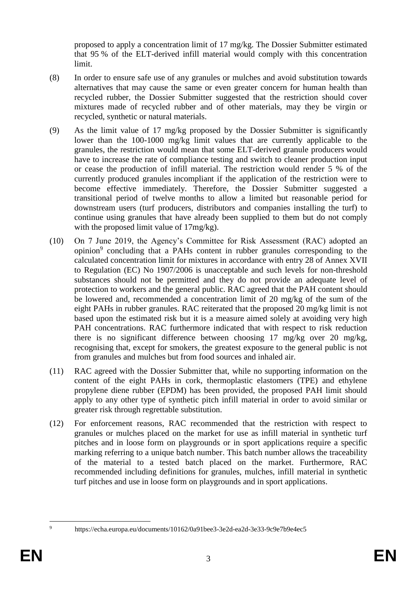proposed to apply a concentration limit of 17 mg/kg. The Dossier Submitter estimated that 95 % of the ELT-derived infill material would comply with this concentration limit.

- (8) In order to ensure safe use of any granules or mulches and avoid substitution towards alternatives that may cause the same or even greater concern for human health than recycled rubber, the Dossier Submitter suggested that the restriction should cover mixtures made of recycled rubber and of other materials, may they be virgin or recycled, synthetic or natural materials.
- (9) As the limit value of 17 mg/kg proposed by the Dossier Submitter is significantly lower than the 100-1000 mg/kg limit values that are currently applicable to the granules, the restriction would mean that some ELT-derived granule producers would have to increase the rate of compliance testing and switch to cleaner production input or cease the production of infill material. The restriction would render 5 % of the currently produced granules incompliant if the application of the restriction were to become effective immediately. Therefore, the Dossier Submitter suggested a transitional period of twelve months to allow a limited but reasonable period for downstream users (turf producers, distributors and companies installing the turf) to continue using granules that have already been supplied to them but do not comply with the proposed limit value of 17mg/kg).
- (10) On 7 June 2019, the Agency's Committee for Risk Assessment (RAC) adopted an opinion<sup>9</sup> concluding that a PAHs content in rubber granules corresponding to the calculated concentration limit for mixtures in accordance with entry 28 of Annex XVII to Regulation (EC) No 1907/2006 is unacceptable and such levels for non-threshold substances should not be permitted and they do not provide an adequate level of protection to workers and the general public. RAC agreed that the PAH content should be lowered and, recommended a concentration limit of 20 mg/kg of the sum of the eight PAHs in rubber granules. RAC reiterated that the proposed 20 mg/kg limit is not based upon the estimated risk but it is a measure aimed solely at avoiding very high PAH concentrations. RAC furthermore indicated that with respect to risk reduction there is no significant difference between choosing 17 mg/kg over 20 mg/kg, recognising that, except for smokers, the greatest exposure to the general public is not from granules and mulches but from food sources and inhaled air.
- (11) RAC agreed with the Dossier Submitter that, while no supporting information on the content of the eight PAHs in cork, thermoplastic elastomers (TPE) and ethylene propylene diene rubber (EPDM) has been provided, the proposed PAH limit should apply to any other type of synthetic pitch infill material in order to avoid similar or greater risk through regrettable substitution.
- (12) For enforcement reasons, RAC recommended that the restriction with respect to granules or mulches placed on the market for use as infill material in synthetic turf pitches and in loose form on playgrounds or in sport applications require a specific marking referring to a unique batch number. This batch number allows the traceability of the material to a tested batch placed on the market. Furthermore, RAC recommended including definitions for granules, mulches, infill material in synthetic turf pitches and use in loose form on playgrounds and in sport applications.

<u>.</u>

https://echa.europa.eu/documents/10162/0a91bee3-3e2d-ea2d-3e33-9c9e7b9e4ec5